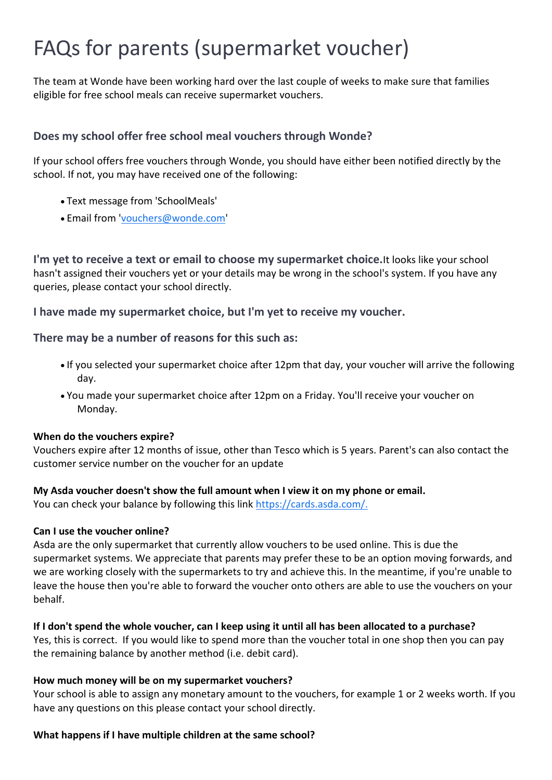# FAQs for parents (supermarket voucher)

The team at Wonde have been working hard over the last couple of weeks to make sure that families eligible for free school meals can receive supermarket vouchers.

# **Does my school offer free school meal vouchers through Wonde?**

If your school offers free vouchers through Wonde, you should have either been notified directly by the school. If not, you may have received one of the following:

- Text message from 'SchoolMeals'
- Email from ['vouchers@wonde.com'](mailto:vouchers@wonde.com)

**I'm yet to receive a text or email to choose my supermarket choice.**It looks like your school hasn't assigned their vouchers yet or your details may be wrong in the school's system. If you have any queries, please contact your school directly.

**I have made my supermarket choice, but I'm yet to receive my voucher.**

# **There may be a number of reasons for this such as:**

- If you selected your supermarket choice after 12pm that day, your voucher will arrive the following day.
- You made your supermarket choice after 12pm on a Friday. You'll receive your voucher on Monday.

## **When do the vouchers expire?**

Vouchers expire after 12 months of issue, other than Tesco which is 5 years. Parent's can also contact the customer service number on the voucher for an update

## **My Asda voucher doesn't show the full amount when I view it on my phone or email.**

You can check your balance by following this link [https://cards.asda.com/.](https://cards.asda.com/)

## **Can I use the voucher online?**

Asda are the only supermarket that currently allow vouchers to be used online. This is due the supermarket systems. We appreciate that parents may prefer these to be an option moving forwards, and we are working closely with the supermarkets to try and achieve this. In the meantime, if you're unable to leave the house then you're able to forward the voucher onto others are able to use the vouchers on your behalf.

## **If I don't spend the whole voucher, can I keep using it until all has been allocated to a purchase?**

Yes, this is correct. If you would like to spend more than the voucher total in one shop then you can pay the remaining balance by another method (i.e. debit card).

## **How much money will be on my supermarket vouchers?**

Your school is able to assign any monetary amount to the vouchers, for example 1 or 2 weeks worth. If you have any questions on this please contact your school directly.

## **What happens if I have multiple children at the same school?**